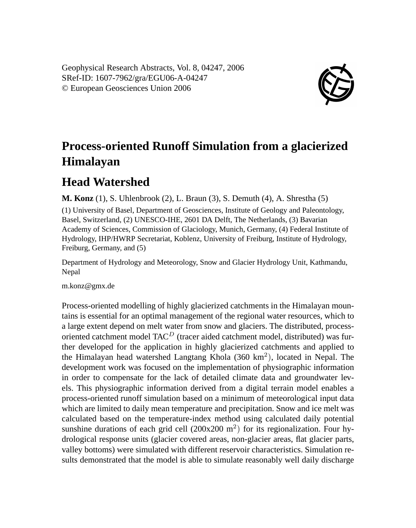Geophysical Research Abstracts, Vol. 8, 04247, 2006 SRef-ID: 1607-7962/gra/EGU06-A-04247 © European Geosciences Union 2006



## **Process-oriented Runoff Simulation from a glacierized Himalayan**

## **Head Watershed**

**M. Konz** (1), S. Uhlenbrook (2), L. Braun (3), S. Demuth (4), A. Shrestha (5)

(1) University of Basel, Department of Geosciences, Institute of Geology and Paleontology, Basel, Switzerland, (2) UNESCO-IHE, 2601 DA Delft, The Netherlands, (3) Bavarian Academy of Sciences, Commission of Glaciology, Munich, Germany, (4) Federal Institute of Hydrology, IHP/HWRP Secretariat, Koblenz, University of Freiburg, Institute of Hydrology, Freiburg, Germany, and (5)

Department of Hydrology and Meteorology, Snow and Glacier Hydrology Unit, Kathmandu, Nepal

m.konz@gmx.de

Process-oriented modelling of highly glacierized catchments in the Himalayan mountains is essential for an optimal management of the regional water resources, which to a large extent depend on melt water from snow and glaciers. The distributed, processoriented catchment model  $TAC<sup>D</sup>$  (tracer aided catchment model, distributed) was further developed for the application in highly glacierized catchments and applied to the Himalayan head watershed Langtang Khola (360 km<sup>2</sup>), located in Nepal. The development work was focused on the implementation of physiographic information in order to compensate for the lack of detailed climate data and groundwater levels. This physiographic information derived from a digital terrain model enables a process-oriented runoff simulation based on a minimum of meteorological input data which are limited to daily mean temperature and precipitation. Snow and ice melt was calculated based on the temperature-index method using calculated daily potential sunshine durations of each grid cell  $(200x200 \text{ m}^2)$  for its regionalization. Four hydrological response units (glacier covered areas, non-glacier areas, flat glacier parts, valley bottoms) were simulated with different reservoir characteristics. Simulation results demonstrated that the model is able to simulate reasonably well daily discharge